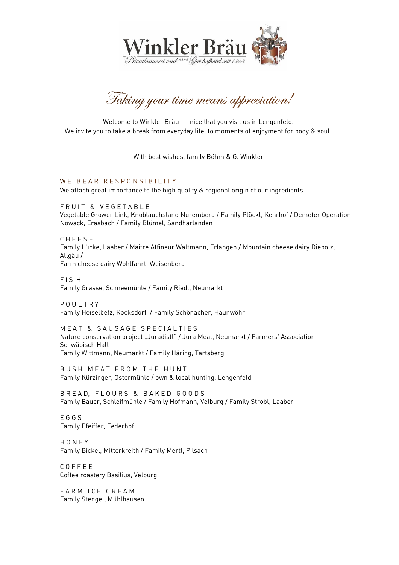

Taking your time means appreciation!

Welcome to Winkler Bräu - - nice that you visit us in Lengenfeld.<br>We invite you to take a break from everyday life, to moments of enjoyment for body & soul! We invite you to take a break from every day life, to moments of enjoyment for body  $\Delta$  soul.

With best wishes, family Böhm & G. Winkler

WE BEAR RESPONSIBILITY

We attach great importance to the high quality & regional origin of our ingredients

F R U I T & V E G E T A B L E<br>Vegetable Grower Link, Knoblauchsland Nuremberg / Family Plöckl, Kehrhof / Demeter Operation Vergetable Grower Link, Knobland Nuremberg / Family Plöten Nuremberg / Family Plöten Operation Nowack, Erasbach / Family Blümel, Sandharlanden

CHEESE Family Lücke, Laaber / Maitre Affineur Waltmann, Erlangen / Mountain cheese dairy Diepolz. Family Lücke, Laaber / Maitre Affineur Waltmann, Erlangen / Mountain cheese dairy Diepolz, . . . . . .<br>Farm ch Farm cheese dairy Wohlfahrt, Weisenberg

FIS H Family Grasse, Schneemühle / Family Riedl, Neumarkt Family Grasse, Schneemühle / Family Riedl, Neumarkt

POULTRY .<br>Family Haise Family Heiselbetz, Rocksdorf / Family Schönacher, Haunwöhr

M E A T & S A U S A G E S P E C I A L T I E S Nature conservation project "Juradistl" / Jura Meat, Neumarkt / Farmers' Association Eamily Wittmann Family Wittmann, Neumarkt / Family Häring, Tartsberg

Eamily Kürzinger, Ostermühle / own 8. loca Family Kürzinger, Ostermühle / own & local hunting, Lengenfeld

BREAD, FLOURS & BAKED GOODS n IV R<br>B Family Rauer, Schleifmühle / Family Hofmann, V Family Bauer, Schleifmühle / Family Hofmann, Velburg / Family Strobl, Laaber

 $FGGS$ – – – –<br>Eamily Family Pfeiffer, Federhof

HONEY Family Ri Family Bickel, Mitterkreith / Family Mertl, Pilsach

 $C$   $O$   $F$   $F$   $F$   $F$ Coffee roastery Basilius, Velburg Coffee roastery Basilius, Velburg

Family Stengel Mijhlhau Family Stengel, Mühlhausen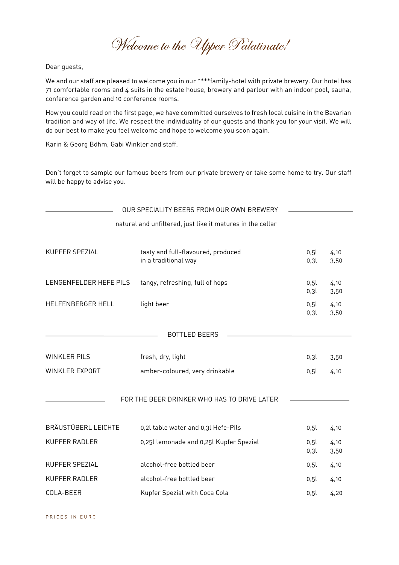Welcome to the Upper Palatinate!

Dear guests,

We and our staff are pleased to welcome you in our \*\*\*\*family-hotel with private brewery. Our hotel has<br>71 comfortable rooms and 4 suits in the estate house, brewery and parlour with an indoor pool, sauna,  $\frac{1}{2}$  conformed and 40 conformed rooms and  $\frac{1}{2}$  suits in the estate house, brewery and parlour with an induced pool, sauna, conference garden and 10 conference rooms.

How you could read on the first page, we have committed ourselves to fresh local cuisine in the Bavarian<br>tradition and way of life. We respect the individuality of our quests and thank you for your visit. We will  $\frac{1}{2}$  do our bost to make you fool we come and bone to welcome you seen again. do our best to make you feel welcome and hope to welcome you soon again.

Karin & Georg Böhm, Gabi Winkler and staff.

 $\mathcal{L}$  for forget to sample our private brewers from our private some to try. Our state some to try. Our state some to try. Our state some to try. Our state some to try. Our state some to try. Our state  $\mathcal{L}$  $\mathbf{b}$  be defined you.

|                        | OUR SPECIALITY BEERS FROM OUR OWN BREWERY                  |              |              |
|------------------------|------------------------------------------------------------|--------------|--------------|
|                        | natural and unfiltered, just like it matures in the cellar |              |              |
| KUPFER SPEZIAL         | tasty and full-flavoured, produced<br>in a traditional way | 0,5l<br>0,3l | 4,10<br>3,50 |
| LENGENFELDER HEFE PILS | tangy, refreshing, full of hops                            | 0,5l<br>0,3l | 4,10<br>3,50 |
| HELFENBERGER HELL      | light beer                                                 | 0,5l<br>0,3l | 4,10<br>3,50 |
|                        | <b>BOTTLED BEERS</b>                                       |              |              |
| <b>WINKLER PILS</b>    | fresh, dry, light                                          | 0,3l         | 3,50         |
| <b>WINKLER EXPORT</b>  | amber-coloured, very drinkable                             | 0,5l         | 4,10         |
|                        | FOR THE BEER DRINKER WHO HAS TO DRIVE LATER                |              |              |
| BRÄUSTÜBERL LEICHTE    | 0,2l table water and 0,3l Hefe-Pils                        | 0,5l         | 4,10         |
| <b>KUPFER RADLER</b>   | 0,25l lemonade and 0,25l Kupfer Spezial                    | 0,5l<br>0,3l | 4,10<br>3,50 |
| KUPFER SPEZIAL         | alcohol-free bottled beer                                  | 0,5l         | 4,10         |
| KUPFER RADLER          | alcohol-free bottled beer                                  | 0,5l         | 4,10         |
| COLA-BEER              | Kupfer Spezial with Coca Cola                              | 0,5l         | 4,20         |

PRICES IN EURO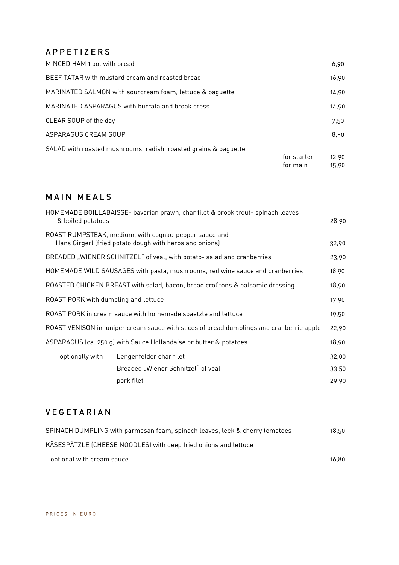### APPETIZERS

| MINCED HAM 1 pot with bread                                     |             | 6,90  |
|-----------------------------------------------------------------|-------------|-------|
| BEEF TATAR with mustard cream and roasted bread                 |             | 16,90 |
| MARINATED SALMON with sourcream foam, lettuce & baguette        |             | 14,90 |
| MARINATED ASPARAGUS with burrata and brook cress                |             | 14,90 |
| CLEAR SOUP of the day                                           |             | 7.50  |
| ASPARAGUS CREAM SOUP                                            |             | 8,50  |
| SALAD with roasted mushrooms, radish, roasted grains & baguette |             |       |
|                                                                 | for starter | 12,90 |
|                                                                 | for main    | 15.90 |

 $\frac{1}{5}$ ,  $\frac{1}{5}$ ,  $\frac{1}{5}$ ,  $\frac{1}{5}$ ,  $\frac{1}{5}$ ,  $\frac{1}{5}$ ,  $\frac{1}{5}$ ,  $\frac{1}{5}$ ,  $\frac{1}{5}$ ,  $\frac{1}{5}$ ,  $\frac{1}{5}$ ,  $\frac{1}{5}$ ,  $\frac{1}{5}$ ,  $\frac{1}{5}$ ,  $\frac{1}{5}$ ,  $\frac{1}{5}$ ,  $\frac{1}{5}$ ,  $\frac{1}{5}$ ,  $\frac{1}{5}$ ,  $\frac{1}{5}$ ,

# M A I N M E A L S

| HOMEMADE BOILLABAISSE- bavarian prawn, char filet & brook trout- spinach leaves<br>& boiled potatoes |                                                                                                                  | 28,90 |
|------------------------------------------------------------------------------------------------------|------------------------------------------------------------------------------------------------------------------|-------|
|                                                                                                      | ROAST RUMPSTEAK, medium, with cognac-pepper sauce and<br>Hans Girgerl (fried potato dough with herbs and onions) | 32,90 |
| BREADED "WIENER SCHNITZEL" of veal, with potato- salad and cranberries                               |                                                                                                                  |       |
| HOMEMADE WILD SAUSAGES with pasta, mushrooms, red wine sauce and cranberries                         |                                                                                                                  | 18,90 |
| ROASTED CHICKEN BREAST with salad, bacon, bread croûtons & balsamic dressing                         |                                                                                                                  | 18,90 |
| ROAST PORK with dumpling and lettuce                                                                 |                                                                                                                  | 17,90 |
| ROAST PORK in cream sauce with homemade spaetzle and lettuce                                         |                                                                                                                  | 19,50 |
| ROAST VENISON in juniper cream sauce with slices of bread dumplings and cranberrie apple             |                                                                                                                  | 22,90 |
| ASPARAGUS (ca. 250 g) with Sauce Hollandaise or butter & potatoes                                    |                                                                                                                  | 18,90 |
| optionally with                                                                                      | Lengenfelder char filet                                                                                          | 32,00 |
|                                                                                                      | Breaded "Wiener Schnitzel" of veal                                                                               | 33,50 |
|                                                                                                      | pork filet                                                                                                       | 29,90 |
|                                                                                                      |                                                                                                                  |       |

## V E G E T A R I A N

| SPINACH DUMPLING with parmesan foam, spinach leaves, leek & cherry tomatoes | 18.50 |
|-----------------------------------------------------------------------------|-------|
| KÄSESPÄTZLE (CHEESE NOODLES) with deep fried onions and lettuce             |       |
| optional with cream sauce                                                   | 16.80 |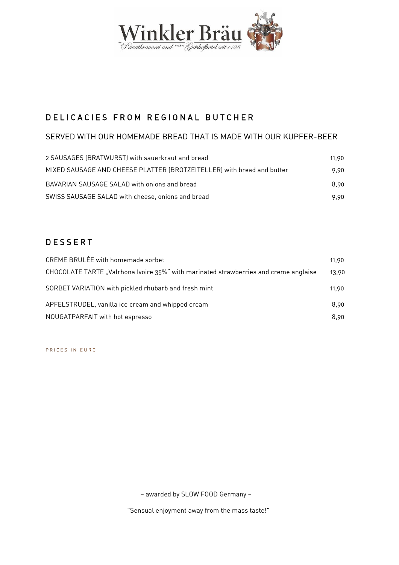

#### DELICACIES FROM REGIONAL BUTCHER D E L I CARDON E SAN DIRETTO DE LA INDIA DE LA INDIA DE LA INDIA DE LA INDIA DE LA INDIA DE LA INDIA DE LA IND

### SERVED WITH OUR HOMEMADE BREAD THAT IS MADE WITH OUR KUPFER-BEER

| 11.90 |
|-------|
| 9.90  |
| 8.90  |
| 9.90  |
|       |

# D E S S E R T

| CREME BRULÉE with homemade sorbet                                                    | 11,90 |
|--------------------------------------------------------------------------------------|-------|
| CHOCOLATE TARTE "Valrhona Ivoire 35%" with marinated strawberries and creme anglaise | 13.90 |
| SORBET VARIATION with pickled rhubarb and fresh mint                                 | 11.90 |
| APFELSTRUDEL, vanilla ice cream and whipped cream                                    | 8.90  |
| NOUGATPARFAIT with hot espresso                                                      | 8.90  |
|                                                                                      |       |

PRICES IN EURO

– awarded by SLOW FOOD Germany –

"Sensual enjoyment away from the mass taste!"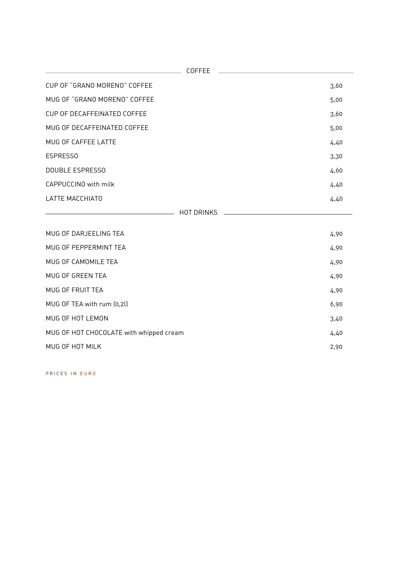| <b>COFFEE</b>                           |      |
|-----------------------------------------|------|
| CUP OF "GRANO MORENO" COFFEE            | 3,60 |
| MUG OF "GRANO MORENO" COFFEE            | 5,00 |
| CUP OF DECAFFEINATED COFFEE             | 3,60 |
| MUG OF DECAFFEINATED COFFEE             | 5,00 |
| MUG OF CAFFEE LATTE                     | 4,40 |
| ESPRESS0                                | 3,30 |
| <b>DOUBLE ESPRESSO</b>                  | 4,60 |
| CAPPUCCINO with milk                    | 4,40 |
| <b>LATTE MACCHIATO</b>                  | 4,40 |
| <b>HOT DRINKS</b>                       |      |
| MUG OF DARJEELING TEA                   | 4,90 |
| MUG OF PEPPERMINT TEA                   | 4,90 |
| MUG OF CAMOMILE TEA                     | 4,90 |
| MUG OF GREEN TEA                        | 4,90 |
| MUG OF FRUIT TEA                        | 4,90 |
| MUG OF TEA with rum (0,2l)              | 6,90 |
| MUG OF HOT LEMON                        | 3,40 |
| MUG OF HOT CHOCOLATE with whipped cream | 4,40 |
| MUG OF HOT MILK                         | 2,90 |
|                                         |      |

PRICES IN EURO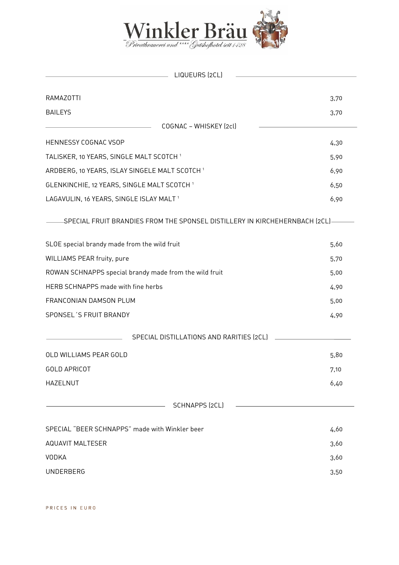

| LIQUEURS (2CL)<br><b>Contract Contract Contract</b>                          |      |
|------------------------------------------------------------------------------|------|
| RAMAZOTTI                                                                    | 3,70 |
| <b>BAILEYS</b>                                                               | 3,70 |
| COGNAC - WHISKEY (2cl)                                                       |      |
| HENNESSY COGNAC VSOP                                                         | 4,30 |
| TALISKER, 10 YEARS, SINGLE MALT SCOTCH <sup>1</sup>                          | 5,90 |
| ARDBERG, 10 YEARS, ISLAY SINGELE MALT SCOTCH <sup>1</sup>                    | 6,90 |
| GLENKINCHIE, 12 YEARS, SINGLE MALT SCOTCH <sup>1</sup>                       |      |
| LAGAVULIN, 16 YEARS, SINGLE ISLAY MALT <sup>1</sup>                          | 6,90 |
| -SPECIAL FRUIT BRANDIES FROM THE SPONSEL DISTILLERY IN KIRCHEHERNBACH (2CL)- |      |
| SLOE special brandy made from the wild fruit                                 | 5,60 |
| WILLIAMS PEAR fruity, pure                                                   | 5,70 |
| ROWAN SCHNAPPS special brandy made from the wild fruit                       | 5,00 |
| HERB SCHNAPPS made with fine herbs                                           | 4,90 |
| FRANCONIAN DAMSON PLUM                                                       | 5,00 |
| SPONSEL'S FRUIT BRANDY                                                       | 4,90 |
| SPECIAL DISTILLATIONS AND RARITIES (2CL)                                     |      |
| OLD WILLIAMS PEAR GOLD                                                       | 5,80 |
| <b>GOLD APRICOT</b>                                                          | 7,10 |
| <b>HAZELNUT</b>                                                              | 6,40 |
| <b>SCHNAPPS (2CL)</b>                                                        |      |
| SPECIAL "BEER SCHNAPPS" made with Winkler beer                               | 4,60 |
| <b>AQUAVIT MALTESER</b>                                                      | 3,60 |
| <b>VODKA</b>                                                                 | 3,60 |
| <b>UNDERBERG</b>                                                             | 3,50 |